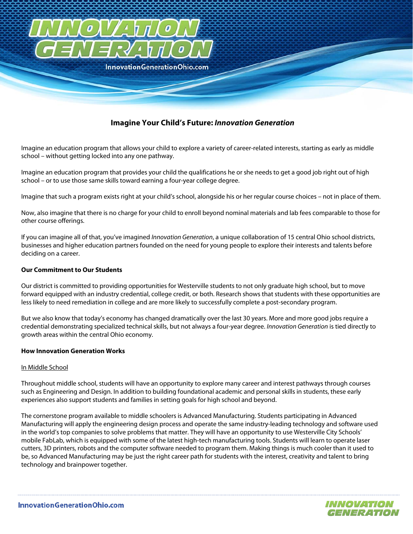

# **Imagine Your Child's Future: Innovation Generation**

Imagine an education program that allows your child to explore a variety of career-related interests, starting as early as middle school – without getting locked into any one pathway.

Imagine an education program that provides your child the qualifications he or she needs to get a good job right out of high school – or to use those same skills toward earning a four-year college degree.

Imagine that such a program exists right at your child's school, alongside his or her regular course choices – not in place of them.

Now, also imagine that there is no charge for your child to enroll beyond nominal materials and lab fees comparable to those for other course offerings.

If you can imagine all of that, you've imagined *Innovation Generation*, a unique collaboration of 15 central Ohio school districts, businesses and higher education partners founded on the need for young people to explore their interests and talents before deciding on a career.

### **Our Commitment to Our Students**

Our district is committed to providing opportunities for Westerville students to not only graduate high school, but to move forward equipped with an industry credential, college credit, or both. Research shows that students with these opportunities are less likely to need remediation in college and are more likely to successfully complete a post-secondary program.

But we also know that today's economy has changed dramatically over the last 30 years. More and more good jobs require a credential demonstrating specialized technical skills, but not always a four-year degree. Innovation Generation is tied directly to growth areas within the central Ohio economy.

#### **How Innovation Generation Works**

## In Middle School

Throughout middle school, students will have an opportunity to explore many career and interest pathways through courses such as Engineering and Design. In addition to building foundational academic and personal skills in students, these early experiences also support students and families in setting goals for high school and beyond.

The cornerstone program available to middle schoolers is Advanced Manufacturing. Students participating in Advanced Manufacturing will apply the engineering design process and operate the same industry-leading technology and software used in the world's top companies to solve problems that matter. They will have an opportunity to use Westerville City Schools' mobile FabLab, which is equipped with some of the latest high-tech manufacturing tools. Students will learn to operate laser cutters, 3D printers, robots and the computer software needed to program them. Making things is much cooler than it used to be, so Advanced Manufacturing may be just the right career path for students with the interest, creativity and talent to bring technology and brainpower together.